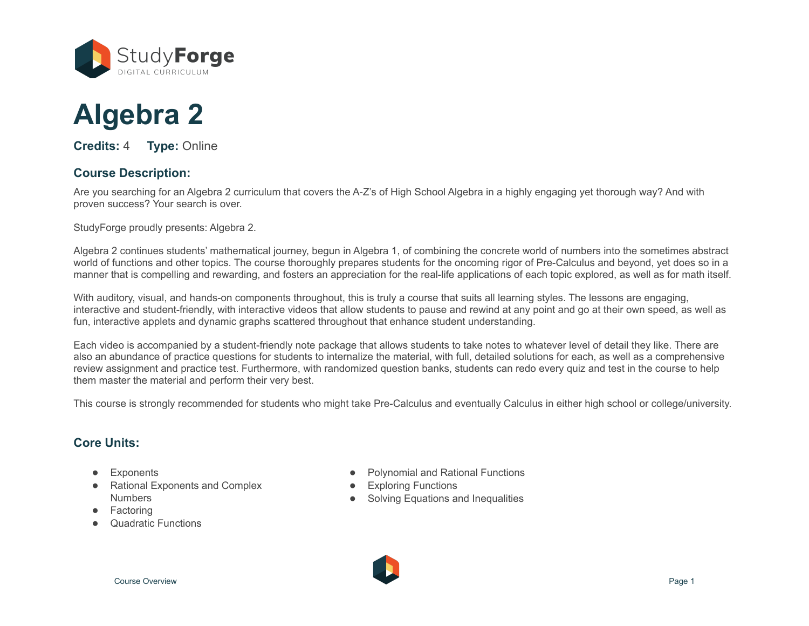

# **Algebra 2**

**Credits:** 4 **Type:** Online

# **Course Description:**

Are you searching for an Algebra 2 curriculum that covers the A-Z's of High School Algebra in a highly engaging yet thorough way? And with proven success? Your search is over.

StudyForge proudly presents: Algebra 2.

Algebra 2 continues students' mathematical journey, begun in Algebra 1, of combining the concrete world of numbers into the sometimes abstract world of functions and other topics. The course thoroughly prepares students for the oncoming rigor of Pre-Calculus and beyond, yet does so in a manner that is compelling and rewarding, and fosters an appreciation for the real-life applications of each topic explored, as well as for math itself.

With auditory, visual, and hands-on components throughout, this is truly a course that suits all learning styles. The lessons are engaging, interactive and student-friendly, with interactive videos that allow students to pause and rewind at any point and go at their own speed, as well as fun, interactive applets and dynamic graphs scattered throughout that enhance student understanding.

Each video is accompanied by a student-friendly note package that allows students to take notes to whatever level of detail they like. There are also an abundance of practice questions for students to internalize the material, with full, detailed solutions for each, as well as a comprehensive review assignment and practice test. Furthermore, with randomized question banks, students can redo every quiz and test in the course to help them master the material and perform their very best.

This course is strongly recommended for students who might take Pre-Calculus and eventually Calculus in either high school or college/university.

# **Core Units:**

- **Exponents**
- **Rational Exponents and Complex Numbers**
- **Factoring**
- Quadratic Functions
- Polynomial and Rational Functions
- Exploring Functions
- **Solving Equations and Inequalities**